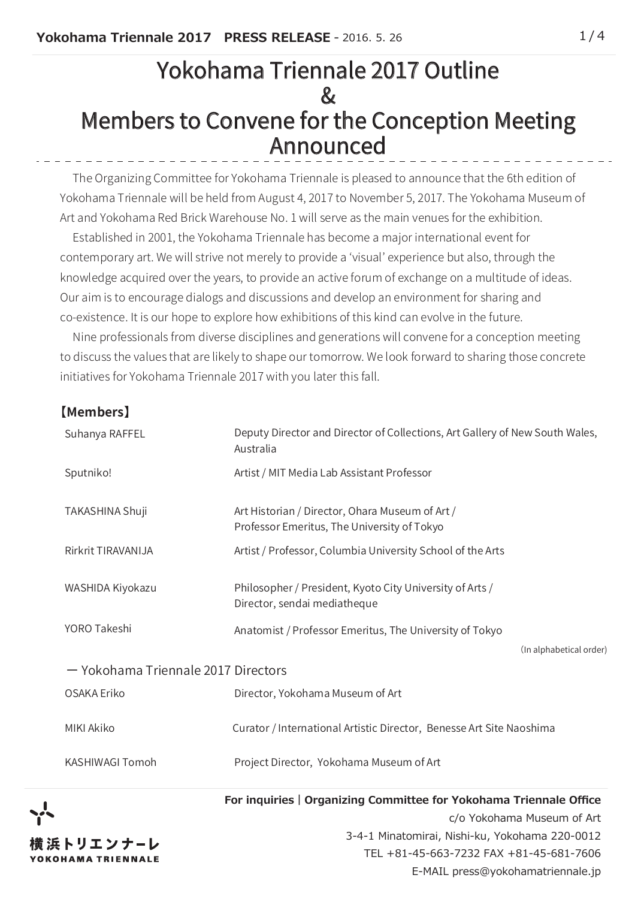# Yokohama Triennale 2017 Outline  $\mathcal{R}_{I}$ Members to Convene for the Conception Meeting Announced

 The Organizing Committee for Yokohama Triennale is pleased to announce that the 6th edition of Yokohama Triennale will be held from August 4, 2017 to November 5, 2017. The Yokohama Museum of Art and Yokohama Red Brick Warehouse No. 1 will serve as the main venues for the exhibition.

 Established in 2001, the Yokohama Triennale has become a major international event for contemporary art. We will strive not merely to provide a 'visual' experience but also, through the knowledge acquired over the years, to provide an active forum of exchange on a multitude of ideas. Our aim is to encourage dialogs and discussions and develop an environment for sharing and co-existence. It is our hope to explore how exhibitions of this kind can evolve in the future.

 Nine professionals from diverse disciplines and generations will convene for a conception meeting to discuss the values that are likely to shape our tomorrow. We look forward to sharing those concrete initiatives for Yokohama Triennale 2017 with you later this fall.

## **【Members】**

| Suhanya RAFFEL                                              | Deputy Director and Director of Collections, Art Gallery of New South Wales,<br>Australia      |  |  |  |  |  |
|-------------------------------------------------------------|------------------------------------------------------------------------------------------------|--|--|--|--|--|
| Sputniko!                                                   | Artist / MIT Media Lab Assistant Professor                                                     |  |  |  |  |  |
| TAKASHINA Shuji                                             | Art Historian / Director, Ohara Museum of Art /<br>Professor Emeritus, The University of Tokyo |  |  |  |  |  |
| Rirkrit TIRAVANIJA                                          | Artist / Professor, Columbia University School of the Arts                                     |  |  |  |  |  |
| WASHIDA Kiyokazu                                            | Philosopher / President, Kyoto City University of Arts /<br>Director, sendai mediatheque       |  |  |  |  |  |
| YORO Takeshi                                                | Anatomist / Professor Emeritus, The University of Tokyo                                        |  |  |  |  |  |
|                                                             | (In alphabetical order)                                                                        |  |  |  |  |  |
| - Yokohama Triennale 2017 Directors                         |                                                                                                |  |  |  |  |  |
| OSAKA Eriko                                                 | Director, Yokohama Museum of Art                                                               |  |  |  |  |  |
| MIKI Akiko                                                  | Curator / International Artistic Director, Benesse Art Site Naoshima                           |  |  |  |  |  |
| KASHIWAGI Tomoh<br>Project Director, Yokohama Museum of Art |                                                                                                |  |  |  |  |  |



**For inquiries|Organizing Committee for Yokohama Triennale Office** c/o Yokohama Museum of Art 3-4-1 Minatomirai, Nishi-ku, Yokohama 220-0012 TEL +81-45-663-7232 FAX +81-45-681-7606

E-MAIL press@yokohamatriennale.jp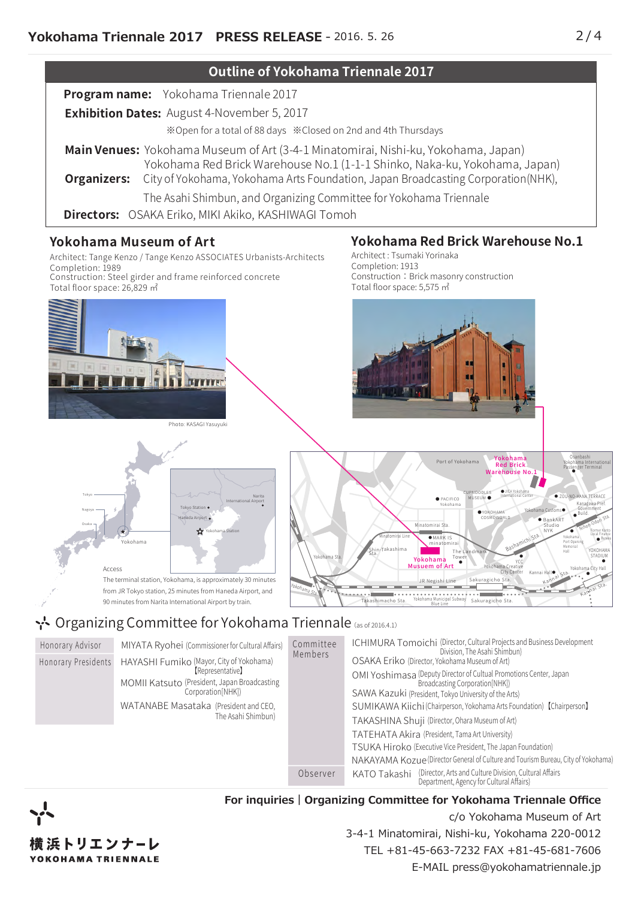

The terminal station, Yokohama, is approximately 30 minutes from JR Tokyo station, 25 minutes from Haneda Airport, and 90 minutes from Narita International Airport by train.

## <u>ት</u> Organizing Committee for Yokohama Triennale (as of 2016.4.1)

Honorary Presidents Honorary Advisor MIYATA Ryohei (Commissioner for Cultural Affairs) HAYASHI Fumiko (Mayor, City of Yokohama) Members MOMII Katsuto (President, Japan Broadcasting Corporation[NHK]) WA I ANABE Masataka (President and CEO, The Asahi Shimbun) Committee 【Representative】 ICHIMURA Tomoichi (Director, Cultural Projects and Business Development Division, The Asahi Shimbun) OSAKA Eriko (Director, Yokohama Museum of Art) OMI Yoshimasa (Deputy Director of Cultual Promotions Center, Japan Broadcasting Corporation[NHK]) SAWA Kazuki (President, Tokyo University of the Arts) SUMIKAWA Kiichi (Chairperson, Yokohama Arts Foundation) 【Chairperson】 TAKASHINA Shuji (Director, Ohara Museum of Art) TATEHATA Akira (President, Tama Art University) TSUKA Hiroko (Executive Vice President, The Japan Foundation) NAKAYAMA Kozue(Director General of Culture and Tourism Bureau, City of Yokohama) Observer KATO Takashi (Director, Arts and Culture Division, Cultural Affairs ) Department, Agency for Cultural Affairs)

Yokohama Sta.



Access

**For inquiries|Organizing Committee for Yokohama Triennale Office**

Takashimacho Sta.

c/o Yokohama Museum of Art 3-4-1 Minatomirai, Nishi-ku, Yokohama 220-0012 TEL +81-45-663-7232 FAX +81-45-681-7606 E-MAIL press@yokohamatriennale.jp

Sakuragicho Sta. Yokohama Municipal Subway Blue Line

Sakuragicho

JR Negishi Line

Musuem of Art

●

Kanmai Sta ●

Yokohama City Hall

Kannai Hall●

Kannai Sta.

YCC Yokohama Creative City Center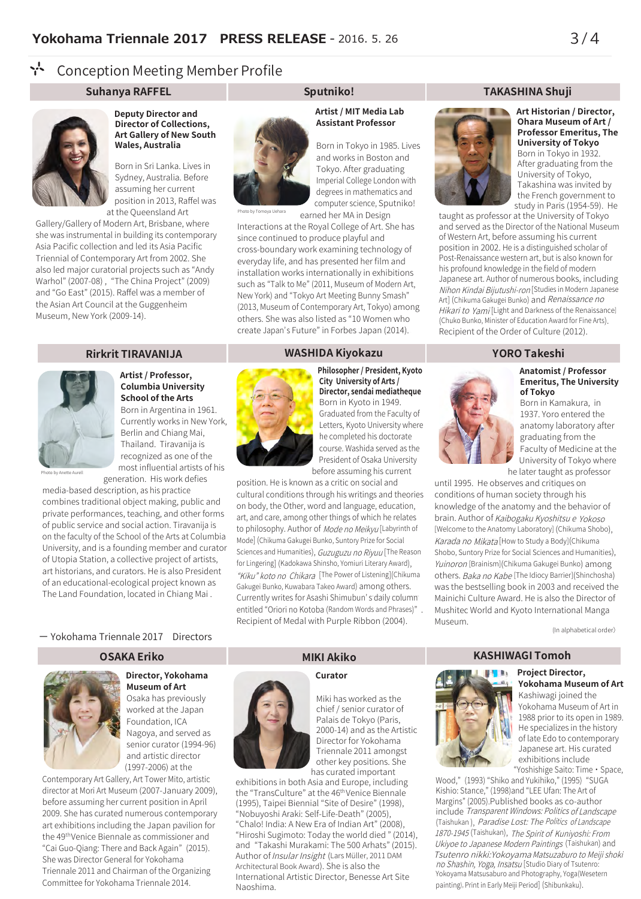#### **A** Conception Meeting Member Profile

### **Suhanya RAFFEL Sputniko! TAKASHINA Shuji**



**Deputy Director and Director of Collections, Art Gallery of New South Wales, Australia**

Born in Sri Lanka. Lives in Sydney, Australia. Before assuming her current position in 2013, Raffel was at the Queensland Art

Gallery/Gallery of Modern Art, Brisbane, where she was instrumental in building its contemporary Asia Pacific collection and led its Asia Pacific Triennial of Contemporary Art from 2002. She also led major curatorial projects such as "Andy Warhol" (2007-08) , "The China Project" (2009) and "Go East" (2015). Raffel was a member of the Asian Art Council at the Guggenheim Museum, New York (2009-14).



### **Artist / Professor, Columbia University School of the Arts**

Born in Argentina in 1961. Currently works in New York, Berlin and Chiang Mai, Thailand. Tiravanija is recognized as one of the most influential artists of his generation. His work defies

Photo by Anette Aurell

media-based description, as his practice combines traditional object making, public and private performances, teaching, and other forms of public service and social action. Tiravanija is on the faculty of the School of the Arts at Columbia University, and is a founding member and curator of Utopia Station, a collective project of artists, art historians, and curators. He is also President of an educational-ecological project known as The Land Foundation, located in Chiang Mai .

#### ー Yokohama Triennale 2017 Directors

### **OSAKA Eriko**



## **Director, Yokohama Museum of Art**

Osaka has previously worked at the Japan Foundation, ICA Nagoya, and served as senior curator (1994-96) and artistic director (1997-2006) at the

Contemporary Art Gallery, Art Tower Mito, artistic director at Mori Art Museum (2007-January 2009), before assuming her current position in April 2009. She has curated numerous contemporary art exhibitions including the Japan pavilion for the 49<sup>th</sup>Venice Biennale as commissioner and "Cai Guo-Qiang: There and Back Again" (2015). She was Director General for Yokohama Triennale 2011 and Chairman of the Organizing Committee for Yokohama Triennale 2014.

### **Artist / MIT Media Lab Assistant Professor**

Born in Tokyo in 1985. Lives and works in Boston and Tokyo. After graduating Imperial College London with degrees in mathematics and computer science, Sputniko! earned her MA in Design

by Tomoya Uehara

Interactions at the Royal College of Art. She has since continued to produce playful and cross-boundary work examining technology of everyday life, and has presented her film and installation works internationally in exhibitions such as "Talk to Me" (2011, Museum of Modern Art, New York) and "Tokyo Art Meeting Bunny Smash" (2013, Museum of Contemporary Art, Tokyo) among others. She was also listed as "10 Women who create Japan' s Future" in Forbes Japan (2014). s Future" in Forbes Japan (2014).

#### **Rirkrit TIRAVANIJA WASHIDA Kiyokazu YORO Takeshi**



**Philosopher / President, Kyoto City University of Arts / Director, sendai mediatheque** Born in Kyoto in 1949. Graduated from the Faculty of Letters, Kyoto University where he completed his doctorate course. Washida served as the President of Osaka University before assuming his current

position. He is known as a critic on social and cultural conditions through his writings and theories on body, the Other, word and language, education, art, and care, among other things of which he relates to philosophy. Author of *Mode no Meikyu* [Labyrinth of Mode] (Chikuma Gakugei Bunko, Suntory Prize for Social Sciences and Humanities), *Guzuguzu no Riyuu* [The Reason for Lingering] (Kadokawa Shinsho, Yomiuri Literary Award), "Kiku" koto no Chikara [The Power of Listening](Chikuma Gakugei Bunko, Kuwabara Takeo Award) among others. Currently writes for Asashi Shimubun' s daily column s daily column entitled "Oriori no Kotoba (Random Words and Phrases)" . Recipient of Medal with Purple Ribbon (2004).



**Art Historian / Director, Ohara Museum of Art / Professor Emeritus, The University of Tokyo** Born in Tokyo in 1932. After graduating from the University of Tokyo, Takashina was invited by the French government to study in Paris (1954-59). He

taught as professor at the University of Tokyo and served as the Director of the National Museum of Western Art, before assuming his current position in 2002. He is a distinguished scholar of .<br>Post-Renaissance western art, but is also known for his profound knowledge in the field of modern Japanese art. Author of numerous books, including Nihon Kindai Bijutushi-ron [Studies in Modern Japanese Art] (Chikuma Gakugei Bunko) and *Renaissance no* Hikari to Yami [Light and Darkness of the Renaissance] (Chuko Bunko, Minister of Education Award for Fine Arts). Recipient of the Order of Culture (2012).

#### **Anatomist / Professor Emeritus, The University of Tokyo**

Born in Kamakura, in 1937. Yoro entered the anatomy laboratory after graduating from the Faculty of Medicine at the University of Tokyo where he later taught as professor

until 1995. He observes and critiques on conditions of human society through his knowledge of the anatomy and the behavior of brain. Author of *Kaibogaku Kyoshitsu e Yokoso* [Welcome to the Anatomy Laboratory] (Chikuma Shobo), Karada no Mikata [How to Study a Body] (Chikuma Shobo, Suntory Prize for Social Sciences and Humanities), Yuinoron [Brainism] (Chikuma Gakugei Bunko) among others. *Baka no Kabe* [The Idiocy Barrier](Shinchosha) was the bestselling book in 2003 and received the Mainichi Culture Award. He is also the Director of Mushitec World and Kyoto International Manga Museum.

(In alphabetical order)

#### **Curator**



Miki has worked as the chief / senior curator of Palais de Tokyo (Paris, 2000-14) and as the Artistic Director for Yokohama Triennale 2011 amongst other key positions. She has curated important

exhibitions in both Asia and Europe, including the "TransCulture" at the 46<sup>th</sup>Venice Biennale (1995), Taipei Biennial "Site of Desire" (1998), "Nobuyoshi Araki: Self-Life-Death" (2005), "Chalo! India: A New Era of Indian Art" (2008), "Hiroshi Sugimoto: Today the world died " (2014), and "Takashi Murakami: The 500 Arhats" (2015). Author of *Insular Insight* (Lars Müller, 2011 DAM Architectural Book Award). She is also the International Artistic Director, Benesse Art Site Naoshima.

### **MIKI Akiko KASHIWAGI Tomoh**



**Project Director, Yokohama Museum of Art**

Kashiwagi joined the Yokohama Museum of Art in 1988 prior to its open in 1989. He specializes in the history of late Edo to contemporary Japanese art. His curated exhibitions include "Yoshishige Saito: Time・Space,

Wood," (1993) "Shiko and Yukihiko," (1995) "SUGA Kishio: Stance," (1998)and "LEE Ufan: The Art of Margins" (2005).Published books as co-author include Transparent Windows: Politics of Landscape Transparent Windows: Politics of Landscape (Taishukan ), Paradise Lost: The Politics of Landscape Paradise Lost: The Politics of Landscape 1870-1945(Taishukan), The Spirit of Kuniyoshi: From 1870-1945 The Spirit of Kuniyoshi: From Ukiyoe to Japanese Modern Paintings (Taishukan) and Tsutenro nikki: Yokoyama Matsuzaburo to Meiji shoki Tsutenro nikki:Yokoyama Matsuzaburo to Meiji shoki no Shashin, Yoga, Insatsu [Studio Diary of Tsutenro: Yokoyama Matsusaburo and Photography, Yoga(Wesetern painting), Print in Early Meiji Period] (Shibunkaku).